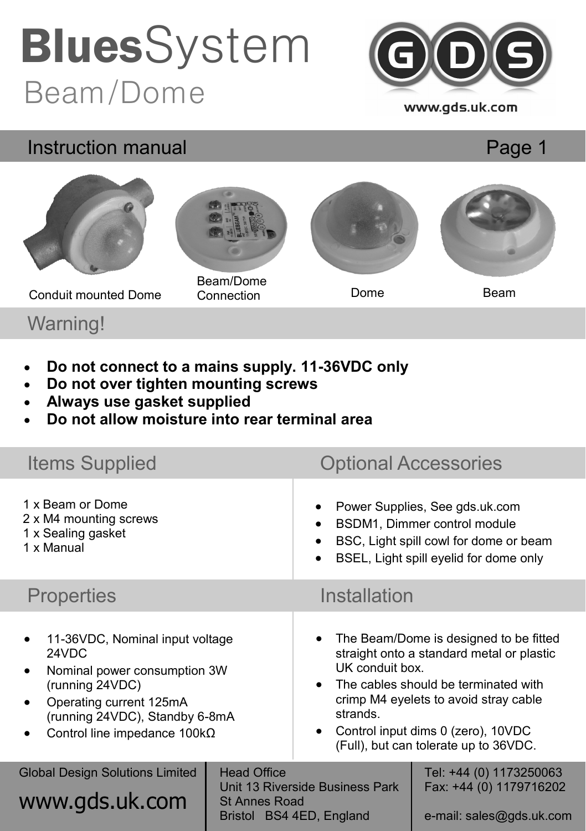## Beam/Dome **Blues**System



#### Instruction manual

Page 1



Warning!

- **Do not connect to a mains supply. 11-36VDC only**
- **Do not over tighten mounting screws**
- **Always use gasket supplied**
- **Do not allow moisture into rear terminal area**

| <b>Items Supplied</b>                                                                                                                                                                                                     |                                            | <b>Optional Accessories</b>                                                                                                                                                                                                                                                                     |                                                                                |
|---------------------------------------------------------------------------------------------------------------------------------------------------------------------------------------------------------------------------|--------------------------------------------|-------------------------------------------------------------------------------------------------------------------------------------------------------------------------------------------------------------------------------------------------------------------------------------------------|--------------------------------------------------------------------------------|
| 1 x Beam or Dome<br>2 x M4 mounting screws<br>1 x Sealing gasket<br>1 x Manual                                                                                                                                            |                                            | Power Supplies, See gds.uk.com<br>BSDM1, Dimmer control module<br>$\bullet$<br>BSC, Light spill cowl for dome or beam<br>BSEL, Light spill eyelid for dome only                                                                                                                                 |                                                                                |
| <b>Properties</b>                                                                                                                                                                                                         |                                            | Installation                                                                                                                                                                                                                                                                                    |                                                                                |
| 11-36VDC, Nominal input voltage<br>24VDC<br>Nominal power consumption 3W<br>$\bullet$<br>(running 24VDC)<br>Operating current 125mA<br>$\bullet$<br>(running 24VDC), Standby 6-8mA<br>Control line impedance $100k\Omega$ |                                            | The Beam/Dome is designed to be fitted<br>straight onto a standard metal or plastic<br>UK conduit box.<br>The cables should be terminated with<br>$\bullet$<br>crimp M4 eyelets to avoid stray cable<br>strands.<br>Control input dims 0 (zero), 10VDC<br>(Full), but can tolerate up to 36VDC. |                                                                                |
| <b>Global Design Solutions Limited</b><br>www.gds.uk.com                                                                                                                                                                  | <b>Head Office</b><br><b>St Annes Road</b> | Unit 13 Riverside Business Park<br>Bristol BS4 4ED, England                                                                                                                                                                                                                                     | Tel: +44 (0) 1173250063<br>Fax: +44 (0) 1179716202<br>e-mail: sales@gds.uk.com |